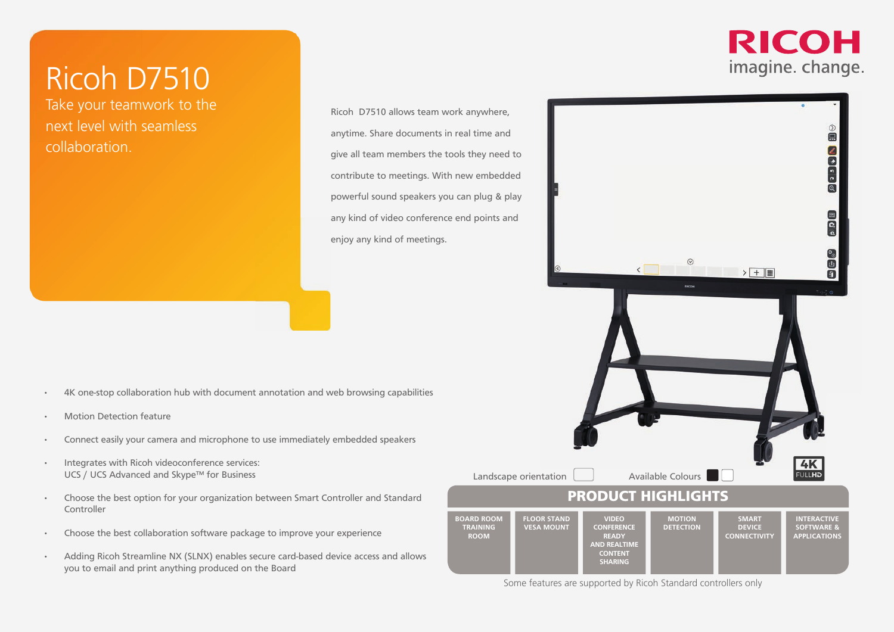Take your teamwork to the next level with seamless collaboration.

#### Ricoh D7510 allows team work anywhere, anytime. Share documents in real time and give all team members the tools they need to contribute to meetings. With new embedded powerful sound speakers you can plug & play any kind of video conference end points and enjoy any kind of meetings.

**ROOM**

- 4K one-stop collaboration hub with document annotation and web browsing capabilities
- Motion Detection feature
- Connect easily your camera and microphone to use immediately embedded speakers
- Integrates with Ricoh videoconference services: UCS / UCS Advanced and Skype™ for Business
- Choose the best option for your organization between Smart Controller and Standard Controller
- Choose the best collaboration software package to improve your experience
- Adding Ricoh Streamline NX (SLNX) enables secure card-based device access and allows you to email and print anything produced on the Board

#### **RICOH** imagine. change.



Some features are supported by Ricoh Standard controllers only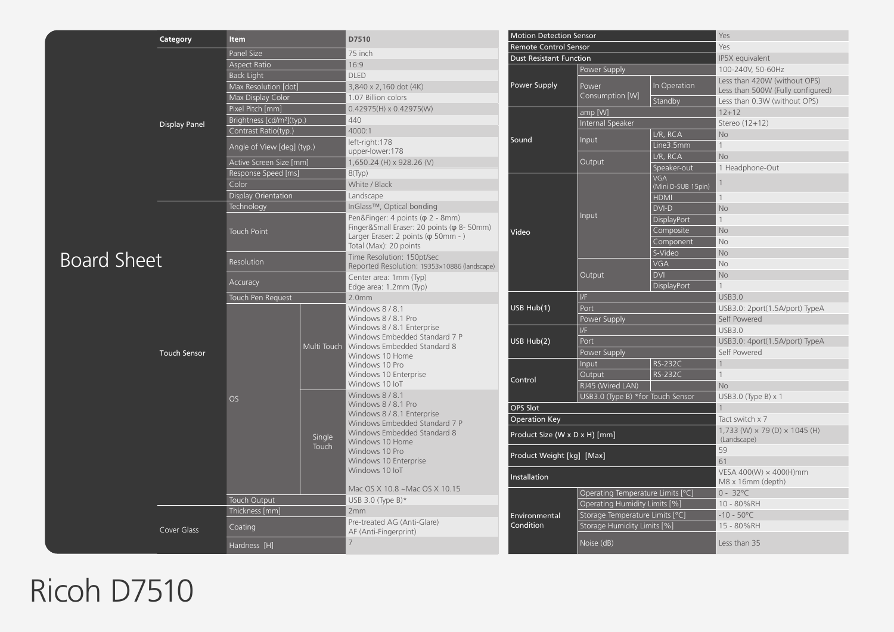|                    | Category                           | <b>Motion Detection Sensor</b><br>D7510<br><b>Item</b> |  |                                                                                                                                                                                                                                                                                                                                                                          | Yes                                            |                                   |                           |                                                                   |
|--------------------|------------------------------------|--------------------------------------------------------|--|--------------------------------------------------------------------------------------------------------------------------------------------------------------------------------------------------------------------------------------------------------------------------------------------------------------------------------------------------------------------------|------------------------------------------------|-----------------------------------|---------------------------|-------------------------------------------------------------------|
|                    | <b>Display Panel</b>               |                                                        |  | 75 inch                                                                                                                                                                                                                                                                                                                                                                  | <b>Remote Control Sensor</b>                   |                                   | Yes                       |                                                                   |
|                    |                                    | Panel Size<br><b>Aspect Ratio</b>                      |  | 16:9                                                                                                                                                                                                                                                                                                                                                                     |                                                | <b>Dust Resistant Function</b>    |                           | IP5X equivalent                                                   |
|                    |                                    | <b>Back Light</b>                                      |  | <b>DLED</b>                                                                                                                                                                                                                                                                                                                                                              | Power Supply                                   | Power Supply                      |                           | 100-240V, 50-60Hz                                                 |
|                    |                                    | Max Resolution [dot]                                   |  | 3,840 x 2,160 dot (4K)                                                                                                                                                                                                                                                                                                                                                   |                                                | Power                             | In Operation              | Less than 420W (without OPS)<br>Less than 500W (Fully configured) |
|                    |                                    | Max Display Color                                      |  | 1.07 Billion colors                                                                                                                                                                                                                                                                                                                                                      |                                                | Consumption [W]                   | Standby                   | Less than 0.3W (without OPS)                                      |
|                    |                                    | Pixel Pitch [mm]                                       |  | $0.42975(H) \times 0.42975(W)$                                                                                                                                                                                                                                                                                                                                           |                                                | amp [W]                           |                           | $12 + 12$                                                         |
|                    |                                    | Brightness [cd/m <sup>2</sup> ](typ.)                  |  | 440                                                                                                                                                                                                                                                                                                                                                                      |                                                | Internal Speaker                  |                           | Stereo (12+12)                                                    |
|                    |                                    | Contrast Ratio(typ.)                                   |  | 4000:1                                                                                                                                                                                                                                                                                                                                                                   |                                                |                                   | L/R, RCA                  | No                                                                |
|                    |                                    | Angle of View [deg] (typ.)                             |  | left-right:178<br>upper-lower:178                                                                                                                                                                                                                                                                                                                                        | Sound                                          | Input                             | Line3.5mm                 | $\mathbf{1}$                                                      |
|                    |                                    | Active Screen Size [mm]                                |  | 1,650.24 (H) x 928.26 (V)                                                                                                                                                                                                                                                                                                                                                |                                                | Output                            | L/R, RCA                  | <b>No</b>                                                         |
|                    |                                    | Response Speed [ms]                                    |  | $8$ (Typ)                                                                                                                                                                                                                                                                                                                                                                |                                                |                                   | Speaker-out<br><b>VGA</b> | 1 Headphone-Out                                                   |
|                    |                                    | Color                                                  |  | White / Black                                                                                                                                                                                                                                                                                                                                                            |                                                |                                   | (Mini D-SUB 15pin)        |                                                                   |
|                    |                                    | Display Orientation                                    |  | Landscape                                                                                                                                                                                                                                                                                                                                                                |                                                |                                   | <b>HDMI</b>               | 1                                                                 |
|                    |                                    | Technology                                             |  | InGlass™, Optical bonding                                                                                                                                                                                                                                                                                                                                                |                                                |                                   | DVI-D                     | No                                                                |
|                    |                                    |                                                        |  | Pen&Finger: 4 points ( $\varphi$ 2 - 8mm)                                                                                                                                                                                                                                                                                                                                |                                                | Input                             | DisplayPort               | $\mathbf{1}$                                                      |
|                    |                                    | <b>Touch Point</b>                                     |  | Finger&Small Eraser: 20 points ( $\varphi$ 8- 50mm)                                                                                                                                                                                                                                                                                                                      | Video                                          |                                   | Composite                 | No                                                                |
|                    |                                    |                                                        |  | Larger Eraser: 2 points ( $\varphi$ 50mm - )<br>Total (Max): 20 points                                                                                                                                                                                                                                                                                                   |                                                |                                   | Component                 | <b>No</b>                                                         |
|                    |                                    |                                                        |  | Time Resolution: 150pt/sec                                                                                                                                                                                                                                                                                                                                               |                                                |                                   | S-Video                   | <b>No</b>                                                         |
| <b>Board Sheet</b> |                                    | Resolution                                             |  | Reported Resolution: 19353×10886 (landscape)                                                                                                                                                                                                                                                                                                                             |                                                |                                   | <b>VGA</b>                | No                                                                |
|                    |                                    |                                                        |  | Center area: 1mm (Typ)<br>Edge area: 1.2mm (Typ)                                                                                                                                                                                                                                                                                                                         |                                                | Output                            | <b>DVI</b>                | <b>No</b>                                                         |
|                    |                                    | Accuracy                                               |  |                                                                                                                                                                                                                                                                                                                                                                          |                                                |                                   | DisplayPort               | $\mathbf{1}$                                                      |
|                    | <b>Touch Sensor</b><br>Cover Glass | Touch Pen Request                                      |  | 2.0 <sub>mm</sub>                                                                                                                                                                                                                                                                                                                                                        |                                                | $V$ F                             |                           | <b>USB3.0</b>                                                     |
|                    |                                    |                                                        |  | Windows 8/8.1<br>Windows 8 / 8.1 Pro<br>Windows 8 / 8.1 Enterprise<br>Windows Embedded Standard 7 P<br>Multi Touch   Windows Embedded Standard 8<br>Windows 10 Home<br>Windows 10 Pro<br>Windows 10 Enterprise<br>Windows 10 IoT<br>Windows 8 / 8.1<br>Windows 8 / 8.1 Pro<br>Windows 8 / 8.1 Enterprise<br>Windows Embedded Standard 7 P<br>Windows Embedded Standard 8 | USB Hub(1)                                     | Port                              |                           | USB3.0: 2port(1.5A/port) TypeA                                    |
|                    |                                    |                                                        |  |                                                                                                                                                                                                                                                                                                                                                                          |                                                | Power Supply                      |                           | Self Powered                                                      |
|                    |                                    |                                                        |  |                                                                                                                                                                                                                                                                                                                                                                          | USB Hub(2)                                     | $V$ F                             |                           | <b>USB3.0</b>                                                     |
|                    |                                    | OS<br>Single<br>Touch                                  |  |                                                                                                                                                                                                                                                                                                                                                                          |                                                | Port                              |                           | USB3.0: 4port(1.5A/port) TypeA                                    |
|                    |                                    |                                                        |  |                                                                                                                                                                                                                                                                                                                                                                          | Input<br>Output<br>Control<br>RJ45 (Wired LAN) | Power Supply                      |                           | Self Powered                                                      |
|                    |                                    |                                                        |  |                                                                                                                                                                                                                                                                                                                                                                          |                                                |                                   | <b>RS-232C</b>            |                                                                   |
|                    |                                    |                                                        |  |                                                                                                                                                                                                                                                                                                                                                                          |                                                |                                   | RS-232C                   | $\mathbf{1}$                                                      |
|                    |                                    |                                                        |  |                                                                                                                                                                                                                                                                                                                                                                          |                                                | USB3.0 (Type B) *for Touch Sensor |                           | <b>No</b><br>USB3.0 (Type B) $\times$ 1                           |
|                    |                                    |                                                        |  |                                                                                                                                                                                                                                                                                                                                                                          | OPS Slot                                       |                                   |                           |                                                                   |
|                    |                                    |                                                        |  |                                                                                                                                                                                                                                                                                                                                                                          | <b>Operation Key</b>                           |                                   | Tact switch x 7           |                                                                   |
|                    |                                    |                                                        |  |                                                                                                                                                                                                                                                                                                                                                                          |                                                | Product Size (W x D x H) [mm]     |                           | $1,733$ (W) $\times$ 79 (D) $\times$ 1045 (H)                     |
|                    |                                    |                                                        |  | Windows 10 Home                                                                                                                                                                                                                                                                                                                                                          | (Landscape)                                    |                                   |                           | 59                                                                |
|                    |                                    |                                                        |  | Windows 10 Pro<br>Windows 10 Enterprise<br>Windows 10 loT<br>Mac OS X 10.8 ~ Mac OS X 10.15                                                                                                                                                                                                                                                                              | Product Weight [kg] [Max]                      |                                   | 61                        |                                                                   |
|                    |                                    |                                                        |  |                                                                                                                                                                                                                                                                                                                                                                          |                                                |                                   | VESA 400(W) × 400(H)mm    |                                                                   |
|                    |                                    |                                                        |  |                                                                                                                                                                                                                                                                                                                                                                          | Installation                                   | M8 x 16mm (depth)                 |                           |                                                                   |
|                    |                                    | <b>Touch Output</b>                                    |  | USB 3.0 (Type B) $*$                                                                                                                                                                                                                                                                                                                                                     | Environmental<br>Condition                     | Operating Temperature Limits [°C] |                           | $0 - 32^{\circ}C$                                                 |
|                    |                                    | Thickness [mm]                                         |  | 2mm                                                                                                                                                                                                                                                                                                                                                                      |                                                | Operating Humidity Limits [%]     |                           | 10 - 80%RH                                                        |
|                    |                                    |                                                        |  | Pre-treated AG (Anti-Glare)<br>AF (Anti-Fingerprint)                                                                                                                                                                                                                                                                                                                     |                                                | Storage Temperature Limits [°C]   |                           | $-10 - 50^{\circ}$ C                                              |
|                    |                                    | Coating                                                |  |                                                                                                                                                                                                                                                                                                                                                                          |                                                | Storage Humidity Limits [%]       |                           | 15 - 80%RH                                                        |
|                    |                                    | Hardness [H]                                           |  | 7                                                                                                                                                                                                                                                                                                                                                                        |                                                |                                   |                           | Less than 35                                                      |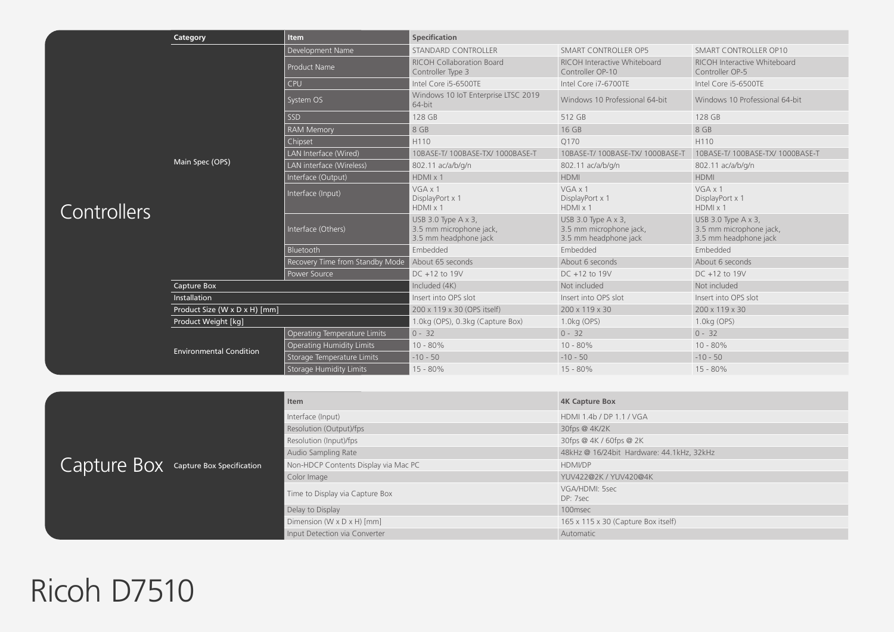|             | Category                       | <b>Item</b>                                                                   | <b>Specification</b>                                                            |                                                                                 |                                                                                 |
|-------------|--------------------------------|-------------------------------------------------------------------------------|---------------------------------------------------------------------------------|---------------------------------------------------------------------------------|---------------------------------------------------------------------------------|
|             |                                | Development Name<br><b>STANDARD CONTROLLER</b><br><b>SMART CONTROLLER OP5</b> |                                                                                 |                                                                                 | <b>SMART CONTROLLER OP10</b>                                                    |
|             |                                | <b>Product Name</b>                                                           | <b>RICOH Collaboration Board</b><br>Controller Type 3                           | RICOH Interactive Whiteboard<br>Controller OP-10                                | RICOH Interactive Whiteboard<br>Controller OP-5                                 |
|             |                                | CPU                                                                           | Intel Core i5-6500TE                                                            | Intel Core i7-6700TE                                                            | Intel Core i5-6500TE                                                            |
|             |                                | System OS                                                                     | Windows 10 IoT Enterprise LTSC 2019<br>64-bit                                   | Windows 10 Professional 64-bit                                                  | Windows 10 Professional 64-bit                                                  |
|             |                                | SSD                                                                           | 128 GB                                                                          | 512 GB                                                                          | 128 GB                                                                          |
|             |                                | <b>RAM Memory</b>                                                             | 8 GB                                                                            | 16 GB                                                                           | 8 GB                                                                            |
|             |                                | Chipset                                                                       | H110                                                                            | O170                                                                            | H110                                                                            |
|             |                                | LAN Interface (Wired)                                                         | 10BASE-T/ 100BASE-TX/ 1000BASE-T                                                | 10BASE-T/ 100BASE-TX/ 1000BASE-T                                                | 10BASE-T/ 100BASE-TX/ 1000BASE-T                                                |
|             | Main Spec (OPS)                | LAN interface (Wireless)<br>802.11 ac/a/b/g/n                                 |                                                                                 | 802.11 ac/a/b/g/n                                                               | 802.11 ac/a/b/g/n                                                               |
|             |                                | Interface (Output)                                                            | HDMX1                                                                           | <b>HDMI</b>                                                                     | <b>HDMI</b>                                                                     |
| Controllers |                                | Interface (Input)                                                             | $VGA \times 1$<br>DisplayPort x 1<br>$HDMI \times 1$                            | VGAx1<br>DisplayPort x 1<br>HDMX1                                               | $VGA \times 1$<br>DisplayPort x 1<br>HDMX1                                      |
|             |                                | Interface (Others)                                                            | USB 3.0 Type $A \times 3$ ,<br>3.5 mm microphone jack,<br>3.5 mm headphone jack | USB 3.0 Type $A \times 3$ ,<br>3.5 mm microphone jack,<br>3.5 mm headphone jack | USB 3.0 Type $A \times 3$ ,<br>3.5 mm microphone jack,<br>3.5 mm headphone jack |
|             |                                | Bluetooth                                                                     | Embedded                                                                        | Embedded                                                                        | Embedded                                                                        |
|             |                                | Recovery Time from Standby Mode                                               | About 65 seconds                                                                | About 6 seconds                                                                 | About 6 seconds                                                                 |
|             |                                | Power Source                                                                  | DC +12 to 19V                                                                   | DC +12 to 19V                                                                   | $DC + 12$ to 19V                                                                |
|             | Capture Box                    |                                                                               | Included (4K)                                                                   | Not included                                                                    | Not included                                                                    |
|             | Installation                   |                                                                               | Insert into OPS slot                                                            | Insert into OPS slot                                                            | Insert into OPS slot                                                            |
|             | Product Size (W x D x H) [mm]  |                                                                               | 200 x 119 x 30 (OPS itself)                                                     | 200 x 119 x 30                                                                  | 200 x 119 x 30                                                                  |
|             | Product Weight [kg]            |                                                                               | 1.0kg (OPS), 0.3kg (Capture Box)                                                | 1.0kg (OPS)                                                                     | 1.0kg (OPS)                                                                     |
|             |                                | Operating Temperature Limits                                                  | $0 - 32$                                                                        | $0 - 32$                                                                        | $0 - 32$                                                                        |
|             | <b>Environmental Condition</b> | <b>Operating Humidity Limits</b>                                              | $10 - 80\%$                                                                     | $10 - 80\%$                                                                     | $10 - 80\%$                                                                     |
|             |                                | Storage Temperature Limits                                                    | $-10 - 50$                                                                      | $-10 - 50$                                                                      | $-10 - 50$                                                                      |
|             |                                | <b>Storage Humidity Limits</b>                                                | $15 - 80%$                                                                      | $15 - 80\%$                                                                     | $15 - 80%$                                                                      |

|                                       | Item                                 | <b>4K Capture Box</b>                     |  |
|---------------------------------------|--------------------------------------|-------------------------------------------|--|
|                                       | Interface (Input)                    | HDMI 1.4b / DP 1.1 / VGA                  |  |
|                                       | Resolution (Output)/fps              | $30$ fps @ $4K/2K$                        |  |
|                                       | Resolution (Input)/fps               | 30fps @ 4K / 60fps @ 2K                   |  |
|                                       | Audio Sampling Rate                  | 48kHz @ 16/24bit Hardware: 44.1kHz, 32kHz |  |
| Capture Box Capture Box Specification | Non-HDCP Contents Display via Mac PC | <b>HDMI/DP</b>                            |  |
|                                       | Color Image                          | YUV422@2K / YUV420@4K                     |  |
|                                       | Time to Display via Capture Box      | VGA/HDMI: 5sec<br>DP: 7sec                |  |
|                                       | Delay to Display                     | 100msec                                   |  |
|                                       | Dimension (W x D x H) [mm]           | 165 x 115 x 30 (Capture Box itself)       |  |
|                                       | Input Detection via Converter        | Automatic                                 |  |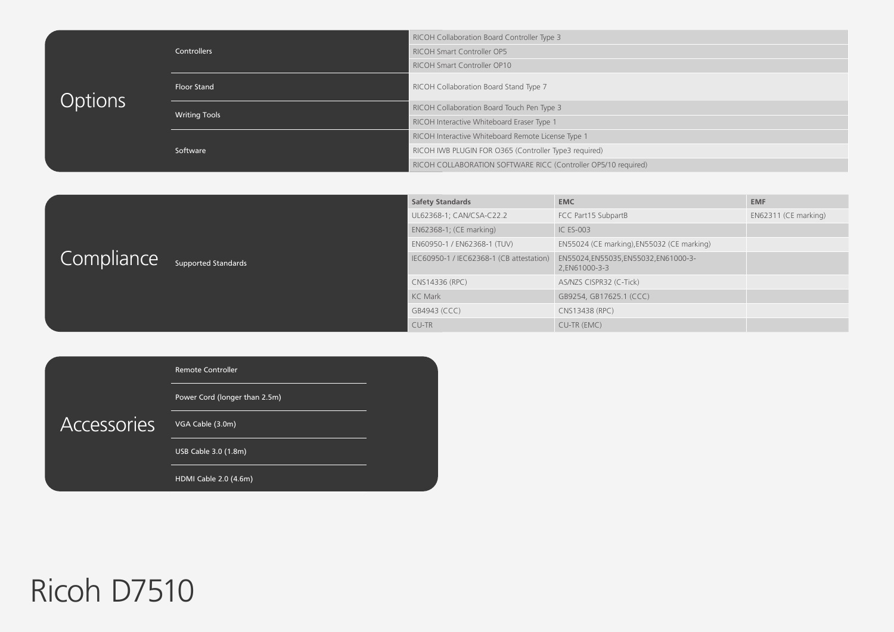| <b>Options</b> | Controllers          | RICOH Collaboration Board Controller Type 3                    |
|----------------|----------------------|----------------------------------------------------------------|
|                |                      | <b>RICOH Smart Controller OP5</b>                              |
|                |                      | RICOH Smart Controller OP10                                    |
|                | <b>Floor Stand</b>   | RICOH Collaboration Board Stand Type 7                         |
|                | <b>Writing Tools</b> | RICOH Collaboration Board Touch Pen Type 3                     |
|                |                      | RICOH Interactive Whiteboard Eraser Type 1                     |
|                |                      | RICOH Interactive Whiteboard Remote License Type 1             |
|                | Software             | RICOH IWB PLUGIN FOR 0365 (Controller Type3 required)          |
|                |                      | RICOH COLLABORATION SOFTWARE RICC (Controller OP5/10 required) |

|            |                            | <b>Safety Standards</b>                  | <b>EMC</b>                                             | <b>EMF</b>           |
|------------|----------------------------|------------------------------------------|--------------------------------------------------------|----------------------|
| Compliance |                            | UL62368-1; CAN/CSA-C22.2                 | FCC Part15 SubpartB                                    | EN62311 (CE marking) |
|            |                            | EN62368-1; (CE marking)                  | <b>IC ES-003</b>                                       |                      |
|            |                            | EN60950-1 / EN62368-1 (TUV)              | EN55024 (CE marking), EN55032 (CE marking)             |                      |
|            | <b>Supported Standards</b> | IEC60950-1 / IEC62368-1 (CB attestation) | EN55024, EN55035, EN55032, EN61000-3-<br>2.EN61000-3-3 |                      |
|            |                            | CNS14336 (RPC)                           | AS/NZS CISPR32 (C-Tick)                                |                      |
|            |                            | <b>KC Mark</b>                           | GB9254, GB17625.1 (CCC)                                |                      |
|            |                            | GB4943 (CCC)                             | CNS13438 (RPC)                                         |                      |
|            |                            | CU-TR                                    | CU-TR (EMC)                                            |                      |

|             | Remote Controller             |  |
|-------------|-------------------------------|--|
|             | Power Cord (longer than 2.5m) |  |
| Accessories | VGA Cable (3.0m)              |  |
|             | USB Cable 3.0 (1.8m)          |  |
|             | HDMI Cable 2.0 (4.6m)         |  |